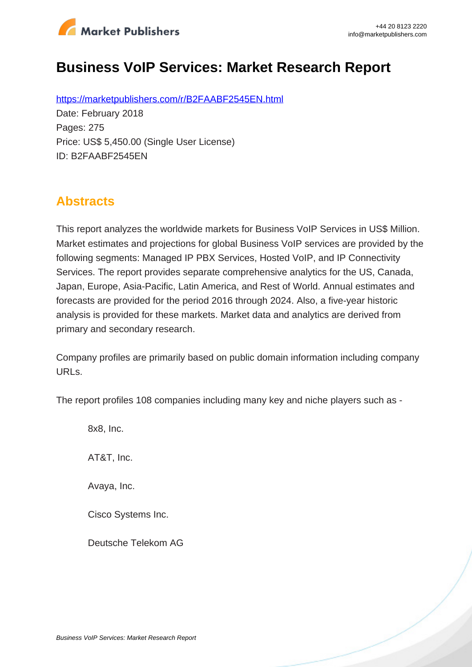

# **Business VoIP Services: Market Research Report**

https://marketpublishers.com/r/B2FAABF2545EN.html Date: February 2018 Pages: 275 Price: US\$ 5,450.00 (Single User License) ID: B2FAABF2545EN

# **Abstracts**

This report analyzes the worldwide markets for Business VoIP Services in US\$ Million. Market estimates and projections for global Business VoIP services are provided by the following segments: Managed IP PBX Services, Hosted VoIP, and IP Connectivity Services. The report provides separate comprehensive analytics for the US, Canada, Japan, Europe, Asia-Pacific, Latin America, and Rest of World. Annual estimates and forecasts are provided for the period 2016 through 2024. Also, a five-year historic analysis is provided for these markets. Market data and analytics are derived from primary and secondary research.

Company profiles are primarily based on public domain information including company URLs.

The report profiles 108 companies including many key and niche players such as -

8x8, Inc.

AT&T, Inc.

Avaya, Inc.

Cisco Systems Inc.

Deutsche Telekom AG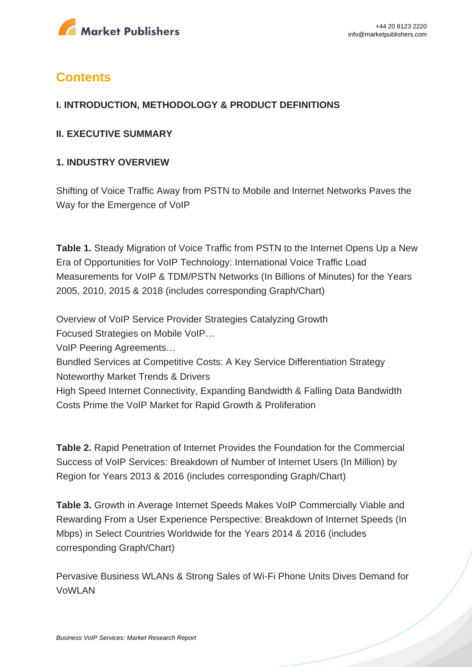

# **Contents**

#### **I. INTRODUCTION, METHODOLOGY & PRODUCT DEFINITIONS**

#### **II. EXECUTIVE SUMMARY**

#### **1. INDUSTRY OVERVIEW**

Shifting of Voice Traffic Away from PSTN to Mobile and Internet Networks Paves the Way for the Emergence of VoIP

**Table 1.** Steady Migration of Voice Traffic from PSTN to the Internet Opens Up a New Era of Opportunities for VoIP Technology: International Voice Traffic Load Measurements for VoIP & TDM/PSTN Networks (In Billions of Minutes) for the Years 2005, 2010, 2015 & 2018 (includes corresponding Graph/Chart)

Overview of VoIP Service Provider Strategies Catalyzing Growth

Focused Strategies on Mobile VoIP…

VoIP Peering Agreements…

Bundled Services at Competitive Costs: A Key Service Differentiation Strategy Noteworthy Market Trends & Drivers

High Speed Internet Connectivity, Expanding Bandwidth & Falling Data Bandwidth Costs Prime the VoIP Market for Rapid Growth & Proliferation

**Table 2.** Rapid Penetration of Internet Provides the Foundation for the Commercial Success of VoIP Services: Breakdown of Number of Internet Users (In Million) by Region for Years 2013 & 2016 (includes corresponding Graph/Chart)

**Table 3.** Growth in Average Internet Speeds Makes VoIP Commercially Viable and Rewarding From a User Experience Perspective: Breakdown of Internet Speeds (In Mbps) in Select Countries Worldwide for the Years 2014 & 2016 (includes corresponding Graph/Chart)

Pervasive Business WLANs & Strong Sales of Wi-Fi Phone Units Dives Demand for VoWLAN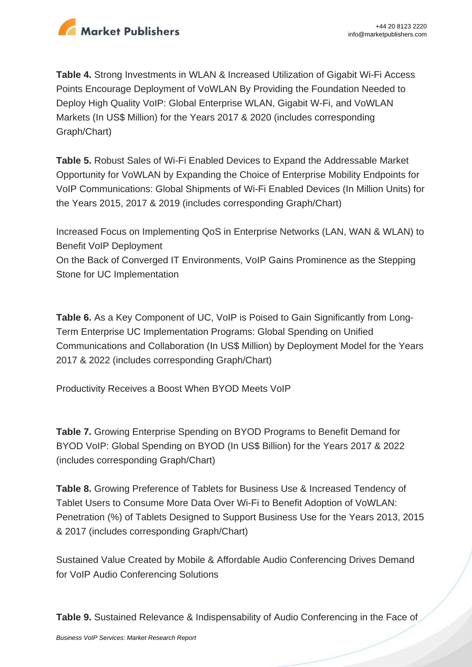

**Table 4.** Strong Investments in WLAN & Increased Utilization of Gigabit Wi-Fi Access Points Encourage Deployment of VoWLAN By Providing the Foundation Needed to Deploy High Quality VoIP: Global Enterprise WLAN, Gigabit W-Fi, and VoWLAN Markets (In US\$ Million) for the Years 2017 & 2020 (includes corresponding Graph/Chart)

**Table 5.** Robust Sales of Wi-Fi Enabled Devices to Expand the Addressable Market Opportunity for VoWLAN by Expanding the Choice of Enterprise Mobility Endpoints for VoIP Communications: Global Shipments of Wi-Fi Enabled Devices (In Million Units) for the Years 2015, 2017 & 2019 (includes corresponding Graph/Chart)

Increased Focus on Implementing QoS in Enterprise Networks (LAN, WAN & WLAN) to Benefit VoIP Deployment

On the Back of Converged IT Environments, VoIP Gains Prominence as the Stepping Stone for UC Implementation

**Table 6.** As a Key Component of UC, VoIP is Poised to Gain Significantly from Long-Term Enterprise UC Implementation Programs: Global Spending on Unified Communications and Collaboration (In US\$ Million) by Deployment Model for the Years 2017 & 2022 (includes corresponding Graph/Chart)

Productivity Receives a Boost When BYOD Meets VoIP

**Table 7.** Growing Enterprise Spending on BYOD Programs to Benefit Demand for BYOD VoIP: Global Spending on BYOD (In US\$ Billion) for the Years 2017 & 2022 (includes corresponding Graph/Chart)

**Table 8.** Growing Preference of Tablets for Business Use & Increased Tendency of Tablet Users to Consume More Data Over Wi-Fi to Benefit Adoption of VoWLAN: Penetration (%) of Tablets Designed to Support Business Use for the Years 2013, 2015 & 2017 (includes corresponding Graph/Chart)

Sustained Value Created by Mobile & Affordable Audio Conferencing Drives Demand for VoIP Audio Conferencing Solutions

**Table 9.** Sustained Relevance & Indispensability of Audio Conferencing in the Face of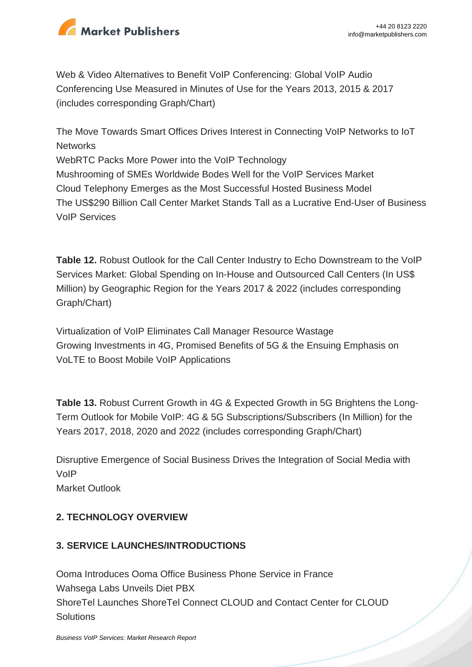

Web & Video Alternatives to Benefit VoIP Conferencing: Global VoIP Audio Conferencing Use Measured in Minutes of Use for the Years 2013, 2015 & 2017 (includes corresponding Graph/Chart)

The Move Towards Smart Offices Drives Interest in Connecting VoIP Networks to IoT **Networks** WebRTC Packs More Power into the VoIP Technology Mushrooming of SMEs Worldwide Bodes Well for the VoIP Services Market Cloud Telephony Emerges as the Most Successful Hosted Business Model The US\$290 Billion Call Center Market Stands Tall as a Lucrative End-User of Business VoIP Services

**Table 12.** Robust Outlook for the Call Center Industry to Echo Downstream to the VoIP Services Market: Global Spending on In-House and Outsourced Call Centers (In US\$ Million) by Geographic Region for the Years 2017 & 2022 (includes corresponding Graph/Chart)

Virtualization of VoIP Eliminates Call Manager Resource Wastage Growing Investments in 4G, Promised Benefits of 5G & the Ensuing Emphasis on VoLTE to Boost Mobile VoIP Applications

**Table 13.** Robust Current Growth in 4G & Expected Growth in 5G Brightens the Long-Term Outlook for Mobile VoIP: 4G & 5G Subscriptions/Subscribers (In Million) for the Years 2017, 2018, 2020 and 2022 (includes corresponding Graph/Chart)

Disruptive Emergence of Social Business Drives the Integration of Social Media with VoIP Market Outlook

## **2. TECHNOLOGY OVERVIEW**

## **3. SERVICE LAUNCHES/INTRODUCTIONS**

Ooma Introduces Ooma Office Business Phone Service in France Wahsega Labs Unveils Diet PBX ShoreTel Launches ShoreTel Connect CLOUD and Contact Center for CLOUD **Solutions**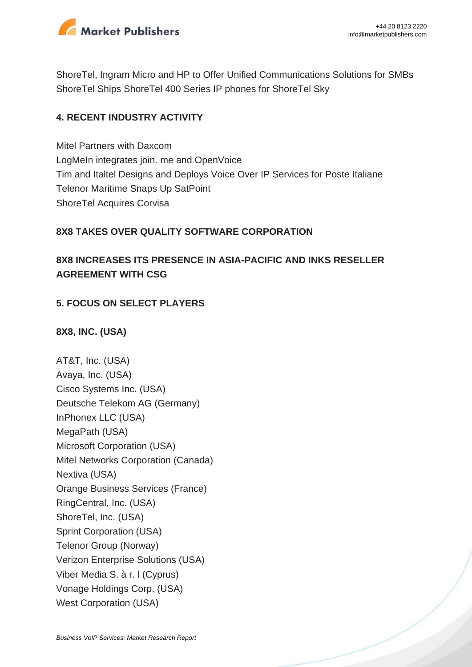

ShoreTel, Ingram Micro and HP to Offer Unified Communications Solutions for SMBs ShoreTel Ships ShoreTel 400 Series IP phones for ShoreTel Sky

#### **4. RECENT INDUSTRY ACTIVITY**

Mitel Partners with Daxcom LogMeIn integrates join. me and OpenVoice Tim and Italtel Designs and Deploys Voice Over IP Services for Poste Italiane Telenor Maritime Snaps Up SatPoint ShoreTel Acquires Corvisa

### **8X8 TAKES OVER QUALITY SOFTWARE CORPORATION**

## **8X8 INCREASES ITS PRESENCE IN ASIA-PACIFIC AND INKS RESELLER AGREEMENT WITH CSG**

### **5. FOCUS ON SELECT PLAYERS**

#### **8X8, INC. (USA)**

AT&T, Inc. (USA) Avaya, Inc. (USA) Cisco Systems Inc. (USA) Deutsche Telekom AG (Germany) InPhonex LLC (USA) MegaPath (USA) Microsoft Corporation (USA) Mitel Networks Corporation (Canada) Nextiva (USA) Orange Business Services (France) RingCentral, Inc. (USA) ShoreTel, Inc. (USA) Sprint Corporation (USA) Telenor Group (Norway) Verizon Enterprise Solutions (USA) Viber Media S. à r. l (Cyprus) Vonage Holdings Corp. (USA) West Corporation (USA)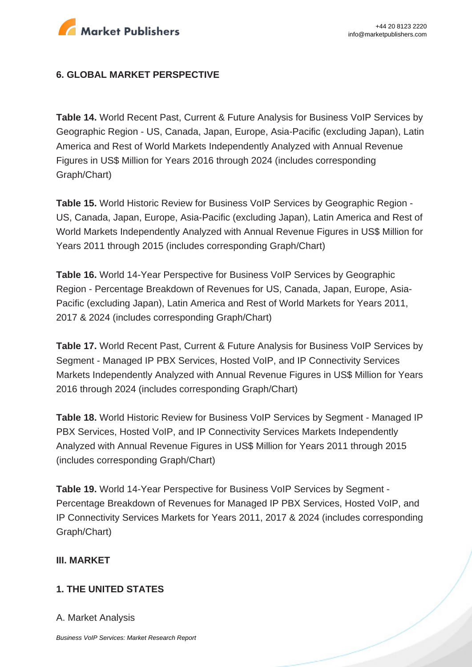

#### **6. GLOBAL MARKET PERSPECTIVE**

**Table 14.** World Recent Past, Current & Future Analysis for Business VoIP Services by Geographic Region - US, Canada, Japan, Europe, Asia-Pacific (excluding Japan), Latin America and Rest of World Markets Independently Analyzed with Annual Revenue Figures in US\$ Million for Years 2016 through 2024 (includes corresponding Graph/Chart)

**Table 15.** World Historic Review for Business VoIP Services by Geographic Region - US, Canada, Japan, Europe, Asia-Pacific (excluding Japan), Latin America and Rest of World Markets Independently Analyzed with Annual Revenue Figures in US\$ Million for Years 2011 through 2015 (includes corresponding Graph/Chart)

**Table 16.** World 14-Year Perspective for Business VoIP Services by Geographic Region - Percentage Breakdown of Revenues for US, Canada, Japan, Europe, Asia-Pacific (excluding Japan), Latin America and Rest of World Markets for Years 2011, 2017 & 2024 (includes corresponding Graph/Chart)

**Table 17.** World Recent Past, Current & Future Analysis for Business VoIP Services by Segment - Managed IP PBX Services, Hosted VoIP, and IP Connectivity Services Markets Independently Analyzed with Annual Revenue Figures in US\$ Million for Years 2016 through 2024 (includes corresponding Graph/Chart)

**Table 18.** World Historic Review for Business VoIP Services by Segment - Managed IP PBX Services, Hosted VoIP, and IP Connectivity Services Markets Independently Analyzed with Annual Revenue Figures in US\$ Million for Years 2011 through 2015 (includes corresponding Graph/Chart)

**Table 19.** World 14-Year Perspective for Business VoIP Services by Segment - Percentage Breakdown of Revenues for Managed IP PBX Services, Hosted VoIP, and IP Connectivity Services Markets for Years 2011, 2017 & 2024 (includes corresponding Graph/Chart)

#### **III. MARKET**

#### **1. THE UNITED STATES**

A. Market Analysis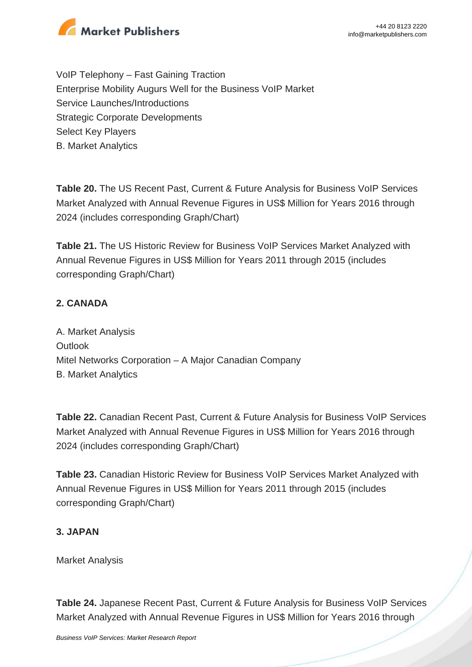

VoIP Telephony – Fast Gaining Traction Enterprise Mobility Augurs Well for the Business VoIP Market Service Launches/Introductions Strategic Corporate Developments Select Key Players B. Market Analytics

**Table 20.** The US Recent Past, Current & Future Analysis for Business VoIP Services Market Analyzed with Annual Revenue Figures in US\$ Million for Years 2016 through 2024 (includes corresponding Graph/Chart)

**Table 21.** The US Historic Review for Business VoIP Services Market Analyzed with Annual Revenue Figures in US\$ Million for Years 2011 through 2015 (includes corresponding Graph/Chart)

### **2. CANADA**

A. Market Analysis **Outlook** Mitel Networks Corporation – A Major Canadian Company B. Market Analytics

**Table 22.** Canadian Recent Past, Current & Future Analysis for Business VoIP Services Market Analyzed with Annual Revenue Figures in US\$ Million for Years 2016 through 2024 (includes corresponding Graph/Chart)

**Table 23.** Canadian Historic Review for Business VoIP Services Market Analyzed with Annual Revenue Figures in US\$ Million for Years 2011 through 2015 (includes corresponding Graph/Chart)

#### **3. JAPAN**

Market Analysis

**Table 24.** Japanese Recent Past, Current & Future Analysis for Business VoIP Services Market Analyzed with Annual Revenue Figures in US\$ Million for Years 2016 through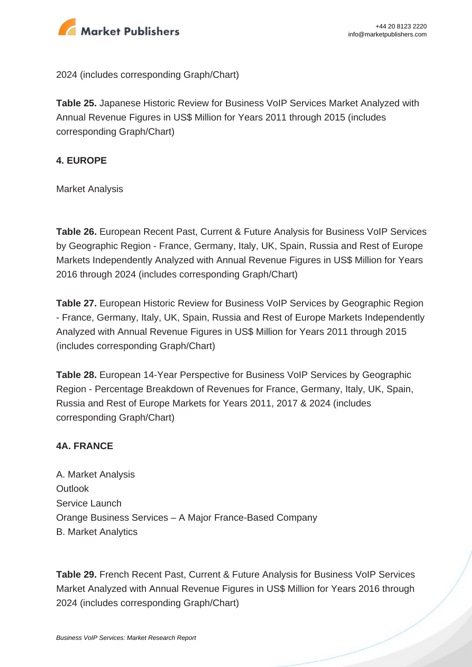

2024 (includes corresponding Graph/Chart)

**Table 25.** Japanese Historic Review for Business VoIP Services Market Analyzed with Annual Revenue Figures in US\$ Million for Years 2011 through 2015 (includes corresponding Graph/Chart)

#### **4. EUROPE**

Market Analysis

**Table 26.** European Recent Past, Current & Future Analysis for Business VoIP Services by Geographic Region - France, Germany, Italy, UK, Spain, Russia and Rest of Europe Markets Independently Analyzed with Annual Revenue Figures in US\$ Million for Years 2016 through 2024 (includes corresponding Graph/Chart)

**Table 27.** European Historic Review for Business VoIP Services by Geographic Region - France, Germany, Italy, UK, Spain, Russia and Rest of Europe Markets Independently Analyzed with Annual Revenue Figures in US\$ Million for Years 2011 through 2015 (includes corresponding Graph/Chart)

**Table 28.** European 14-Year Perspective for Business VoIP Services by Geographic Region - Percentage Breakdown of Revenues for France, Germany, Italy, UK, Spain, Russia and Rest of Europe Markets for Years 2011, 2017 & 2024 (includes corresponding Graph/Chart)

#### **4A. FRANCE**

A. Market Analysis **Outlook** Service Launch Orange Business Services – A Major France-Based Company B. Market Analytics

**Table 29.** French Recent Past, Current & Future Analysis for Business VoIP Services Market Analyzed with Annual Revenue Figures in US\$ Million for Years 2016 through 2024 (includes corresponding Graph/Chart)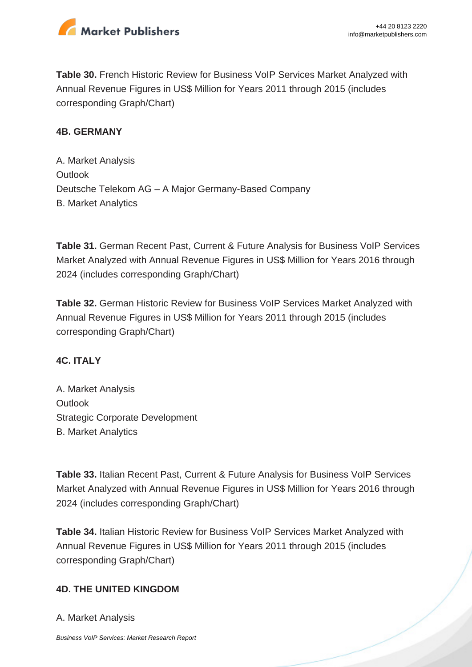

**Table 30.** French Historic Review for Business VoIP Services Market Analyzed with Annual Revenue Figures in US\$ Million for Years 2011 through 2015 (includes corresponding Graph/Chart)

#### **4B. GERMANY**

A. Market Analysis **Outlook** Deutsche Telekom AG – A Major Germany-Based Company B. Market Analytics

**Table 31.** German Recent Past, Current & Future Analysis for Business VoIP Services Market Analyzed with Annual Revenue Figures in US\$ Million for Years 2016 through 2024 (includes corresponding Graph/Chart)

**Table 32.** German Historic Review for Business VoIP Services Market Analyzed with Annual Revenue Figures in US\$ Million for Years 2011 through 2015 (includes corresponding Graph/Chart)

#### **4C. ITALY**

A. Market Analysis **Outlook** Strategic Corporate Development B. Market Analytics

**Table 33.** Italian Recent Past, Current & Future Analysis for Business VoIP Services Market Analyzed with Annual Revenue Figures in US\$ Million for Years 2016 through 2024 (includes corresponding Graph/Chart)

**Table 34.** Italian Historic Review for Business VoIP Services Market Analyzed with Annual Revenue Figures in US\$ Million for Years 2011 through 2015 (includes corresponding Graph/Chart)

#### **4D. THE UNITED KINGDOM**

A. Market Analysis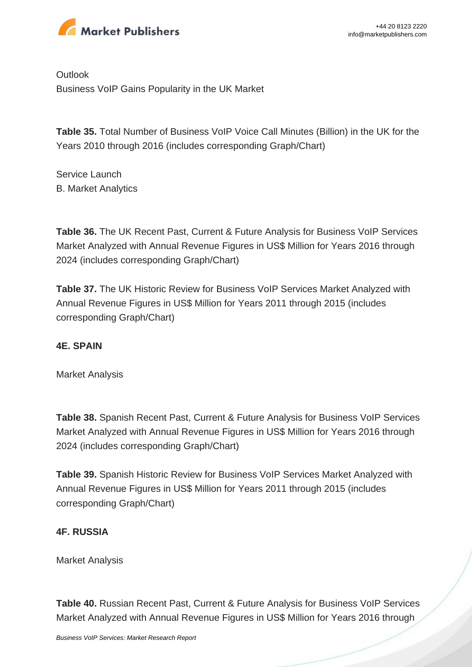

**Outlook** Business VoIP Gains Popularity in the UK Market

**Table 35.** Total Number of Business VoIP Voice Call Minutes (Billion) in the UK for the Years 2010 through 2016 (includes corresponding Graph/Chart)

Service Launch B. Market Analytics

**Table 36.** The UK Recent Past, Current & Future Analysis for Business VoIP Services Market Analyzed with Annual Revenue Figures in US\$ Million for Years 2016 through 2024 (includes corresponding Graph/Chart)

**Table 37.** The UK Historic Review for Business VoIP Services Market Analyzed with Annual Revenue Figures in US\$ Million for Years 2011 through 2015 (includes corresponding Graph/Chart)

#### **4E. SPAIN**

Market Analysis

**Table 38.** Spanish Recent Past, Current & Future Analysis for Business VoIP Services Market Analyzed with Annual Revenue Figures in US\$ Million for Years 2016 through 2024 (includes corresponding Graph/Chart)

**Table 39.** Spanish Historic Review for Business VoIP Services Market Analyzed with Annual Revenue Figures in US\$ Million for Years 2011 through 2015 (includes corresponding Graph/Chart)

#### **4F. RUSSIA**

Market Analysis

**Table 40.** Russian Recent Past, Current & Future Analysis for Business VoIP Services Market Analyzed with Annual Revenue Figures in US\$ Million for Years 2016 through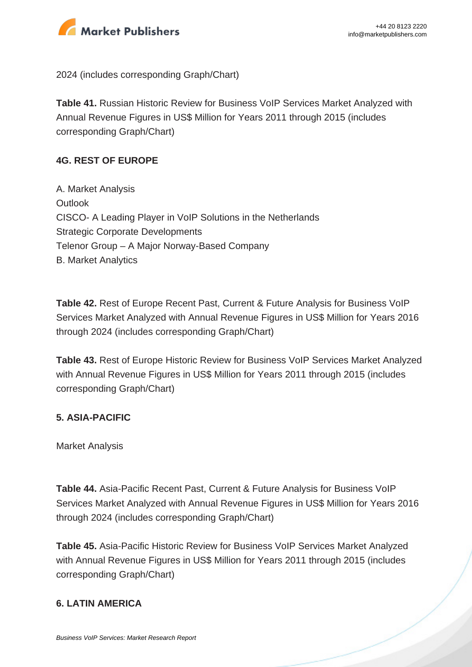

2024 (includes corresponding Graph/Chart)

**Table 41.** Russian Historic Review for Business VoIP Services Market Analyzed with Annual Revenue Figures in US\$ Million for Years 2011 through 2015 (includes corresponding Graph/Chart)

#### **4G. REST OF EUROPE**

A. Market Analysis **Outlook** CISCO- A Leading Player in VoIP Solutions in the Netherlands Strategic Corporate Developments Telenor Group – A Major Norway-Based Company B. Market Analytics

**Table 42.** Rest of Europe Recent Past, Current & Future Analysis for Business VoIP Services Market Analyzed with Annual Revenue Figures in US\$ Million for Years 2016 through 2024 (includes corresponding Graph/Chart)

**Table 43.** Rest of Europe Historic Review for Business VoIP Services Market Analyzed with Annual Revenue Figures in US\$ Million for Years 2011 through 2015 (includes corresponding Graph/Chart)

#### **5. ASIA-PACIFIC**

Market Analysis

**Table 44.** Asia-Pacific Recent Past, Current & Future Analysis for Business VoIP Services Market Analyzed with Annual Revenue Figures in US\$ Million for Years 2016 through 2024 (includes corresponding Graph/Chart)

**Table 45.** Asia-Pacific Historic Review for Business VoIP Services Market Analyzed with Annual Revenue Figures in US\$ Million for Years 2011 through 2015 (includes corresponding Graph/Chart)

#### **6. LATIN AMERICA**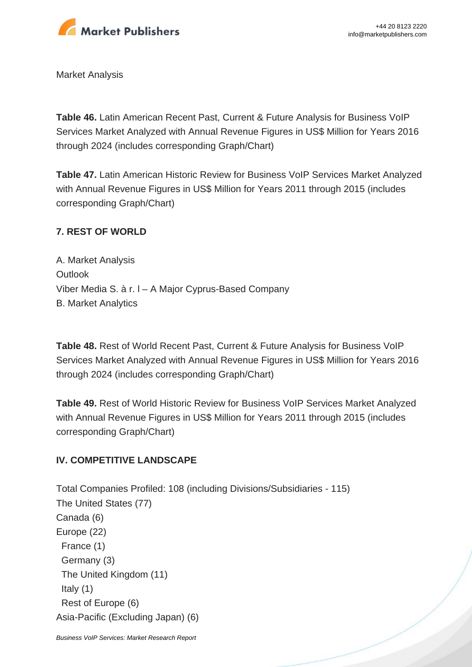

Market Analysis

**Table 46.** Latin American Recent Past, Current & Future Analysis for Business VoIP Services Market Analyzed with Annual Revenue Figures in US\$ Million for Years 2016 through 2024 (includes corresponding Graph/Chart)

**Table 47.** Latin American Historic Review for Business VoIP Services Market Analyzed with Annual Revenue Figures in US\$ Million for Years 2011 through 2015 (includes corresponding Graph/Chart)

### **7. REST OF WORLD**

A. Market Analysis **Outlook** Viber Media S. à r. l – A Major Cyprus-Based Company B. Market Analytics

**Table 48.** Rest of World Recent Past, Current & Future Analysis for Business VoIP Services Market Analyzed with Annual Revenue Figures in US\$ Million for Years 2016 through 2024 (includes corresponding Graph/Chart)

**Table 49.** Rest of World Historic Review for Business VoIP Services Market Analyzed with Annual Revenue Figures in US\$ Million for Years 2011 through 2015 (includes corresponding Graph/Chart)

#### **IV. COMPETITIVE LANDSCAPE**

Total Companies Profiled: 108 (including Divisions/Subsidiaries - 115) The United States (77) Canada (6) Europe (22) France (1) Germany (3) The United Kingdom (11) Italy (1) Rest of Europe (6) Asia-Pacific (Excluding Japan) (6)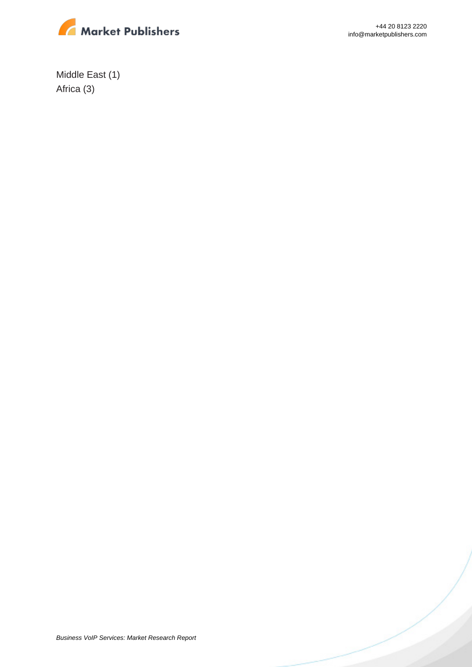

+44 20 8123 2220 info@marketpublishers.com

Middle East (1) Africa (3)